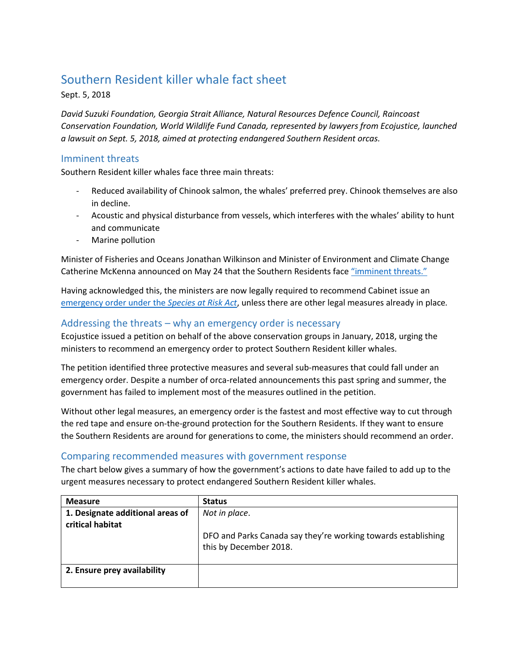## Southern Resident killer whale fact sheet

Sept. 5, 2018

*David Suzuki Foundation, Georgia Strait Alliance, Natural Resources Defence Council, Raincoast Conservation Foundation, World Wildlife Fund Canada, represented by lawyers from Ecojustice, launched a lawsuit on Sept. 5, 2018, aimed at protecting endangered Southern Resident orcas.*

## Imminent threats

Southern Resident killer whales face three main threats:

- Reduced availability of Chinook salmon, the whales' preferred prey. Chinook themselves are also in decline.
- Acoustic and physical disturbance from vessels, which interferes with the whales' ability to hunt and communicate
- Marine pollution

Minister of Fisheries and Oceans Jonathan Wilkinson and Minister of Environment and Climate Change Catherine McKenna announced on May 24 that the Southern Residents face ["imminent threats."](https://www.registrelep-sararegistry.gc.ca/document/default_e.cfm?documentID=3327)

Having acknowledged this, the ministers are now legally required to recommend Cabinet issue an [emergency order under the](http://laws-lois.justice.gc.ca/eng/acts/s-15.3/page-10.html#h-22) *Species at Risk Act*, unless there are other legal measures already in place*.*

## Addressing the threats – why an emergency order is necessary

Ecojustice issued a petition on behalf of the above conservation groups in January, 2018, urging the ministers to recommend an emergency order to protect Southern Resident killer whales.

The petition identified three protective measures and several sub-measures that could fall under an emergency order. Despite a number of orca-related announcements this past spring and summer, the government has failed to implement most of the measures outlined in the petition.

Without other legal measures, an emergency order is the fastest and most effective way to cut through the red tape and ensure on-the-ground protection for the Southern Residents. If they want to ensure the Southern Residents are around for generations to come, the ministers should recommend an order.

## Comparing recommended measures with government response

The chart below gives a summary of how the government's actions to date have failed to add up to the urgent measures necessary to protect endangered Southern Resident killer whales.

| <b>Measure</b>                                       | <b>Status</b>                                                                           |
|------------------------------------------------------|-----------------------------------------------------------------------------------------|
| 1. Designate additional areas of<br>critical habitat | Not in place.                                                                           |
|                                                      | DFO and Parks Canada say they're working towards establishing<br>this by December 2018. |
| 2. Ensure prey availability                          |                                                                                         |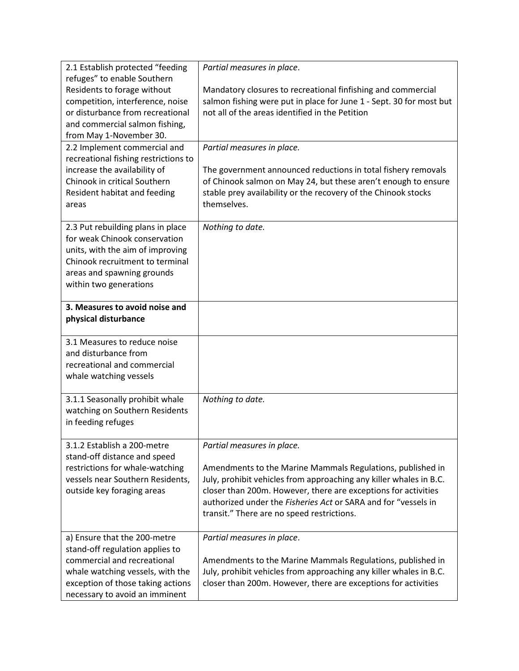| 2.1 Establish protected "feeding                                     | Partial measures in place.                                                                                             |
|----------------------------------------------------------------------|------------------------------------------------------------------------------------------------------------------------|
| refuges" to enable Southern                                          |                                                                                                                        |
| Residents to forage without                                          | Mandatory closures to recreational finfishing and commercial                                                           |
| competition, interference, noise<br>or disturbance from recreational | salmon fishing were put in place for June 1 - Sept. 30 for most but<br>not all of the areas identified in the Petition |
| and commercial salmon fishing,                                       |                                                                                                                        |
| from May 1-November 30.                                              |                                                                                                                        |
| 2.2 Implement commercial and                                         | Partial measures in place.                                                                                             |
| recreational fishing restrictions to                                 |                                                                                                                        |
| increase the availability of                                         | The government announced reductions in total fishery removals                                                          |
| Chinook in critical Southern                                         | of Chinook salmon on May 24, but these aren't enough to ensure                                                         |
| Resident habitat and feeding                                         | stable prey availability or the recovery of the Chinook stocks                                                         |
| areas                                                                | themselves.                                                                                                            |
|                                                                      |                                                                                                                        |
| 2.3 Put rebuilding plans in place                                    | Nothing to date.                                                                                                       |
| for weak Chinook conservation                                        |                                                                                                                        |
| units, with the aim of improving                                     |                                                                                                                        |
| Chinook recruitment to terminal                                      |                                                                                                                        |
| areas and spawning grounds                                           |                                                                                                                        |
| within two generations                                               |                                                                                                                        |
|                                                                      |                                                                                                                        |
| 3. Measures to avoid noise and                                       |                                                                                                                        |
| physical disturbance                                                 |                                                                                                                        |
|                                                                      |                                                                                                                        |
| 3.1 Measures to reduce noise                                         |                                                                                                                        |
| and disturbance from                                                 |                                                                                                                        |
| recreational and commercial                                          |                                                                                                                        |
| whale watching vessels                                               |                                                                                                                        |
| 3.1.1 Seasonally prohibit whale                                      | Nothing to date.                                                                                                       |
| watching on Southern Residents                                       |                                                                                                                        |
| in feeding refuges                                                   |                                                                                                                        |
|                                                                      |                                                                                                                        |
| 3.1.2 Establish a 200-metre                                          | Partial measures in place.                                                                                             |
| stand-off distance and speed                                         |                                                                                                                        |
| restrictions for whale-watching                                      | Amendments to the Marine Mammals Regulations, published in                                                             |
| vessels near Southern Residents,                                     | July, prohibit vehicles from approaching any killer whales in B.C.                                                     |
| outside key foraging areas                                           | closer than 200m. However, there are exceptions for activities                                                         |
|                                                                      | authorized under the Fisheries Act or SARA and for "vessels in                                                         |
|                                                                      | transit." There are no speed restrictions.                                                                             |
|                                                                      |                                                                                                                        |
| a) Ensure that the 200-metre                                         | Partial measures in place.                                                                                             |
| stand-off regulation applies to                                      |                                                                                                                        |
| commercial and recreational                                          | Amendments to the Marine Mammals Regulations, published in                                                             |
| whale watching vessels, with the                                     | July, prohibit vehicles from approaching any killer whales in B.C.                                                     |
| exception of those taking actions                                    | closer than 200m. However, there are exceptions for activities                                                         |
| necessary to avoid an imminent                                       |                                                                                                                        |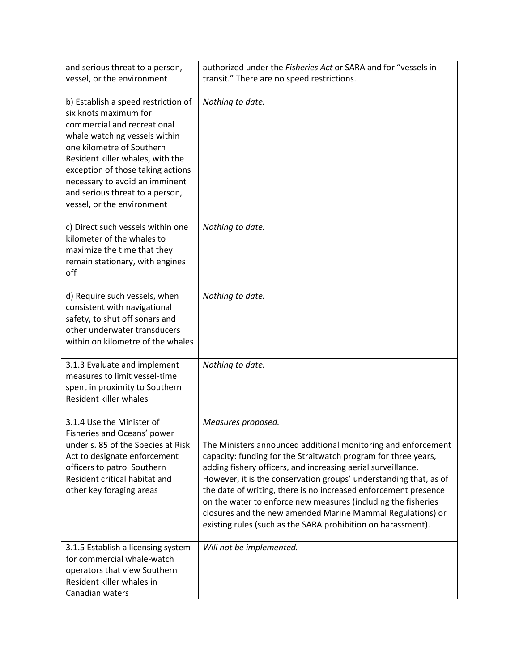| and serious threat to a person,                                                                                                                                                                                                                                                                                                       | authorized under the Fisheries Act or SARA and for "vessels in                                                                                                                                                                                                                                                                                                                                                                                                                                                                                               |
|---------------------------------------------------------------------------------------------------------------------------------------------------------------------------------------------------------------------------------------------------------------------------------------------------------------------------------------|--------------------------------------------------------------------------------------------------------------------------------------------------------------------------------------------------------------------------------------------------------------------------------------------------------------------------------------------------------------------------------------------------------------------------------------------------------------------------------------------------------------------------------------------------------------|
| vessel, or the environment                                                                                                                                                                                                                                                                                                            | transit." There are no speed restrictions.                                                                                                                                                                                                                                                                                                                                                                                                                                                                                                                   |
| b) Establish a speed restriction of<br>six knots maximum for<br>commercial and recreational<br>whale watching vessels within<br>one kilometre of Southern<br>Resident killer whales, with the<br>exception of those taking actions<br>necessary to avoid an imminent<br>and serious threat to a person,<br>vessel, or the environment | Nothing to date.                                                                                                                                                                                                                                                                                                                                                                                                                                                                                                                                             |
| c) Direct such vessels within one<br>kilometer of the whales to<br>maximize the time that they<br>remain stationary, with engines<br>off                                                                                                                                                                                              | Nothing to date.                                                                                                                                                                                                                                                                                                                                                                                                                                                                                                                                             |
| d) Require such vessels, when<br>consistent with navigational<br>safety, to shut off sonars and<br>other underwater transducers<br>within on kilometre of the whales                                                                                                                                                                  | Nothing to date.                                                                                                                                                                                                                                                                                                                                                                                                                                                                                                                                             |
| 3.1.3 Evaluate and implement<br>measures to limit vessel-time<br>spent in proximity to Southern<br>Resident killer whales                                                                                                                                                                                                             | Nothing to date.                                                                                                                                                                                                                                                                                                                                                                                                                                                                                                                                             |
| 3.1.4 Use the Minister of<br>Fisheries and Oceans' power<br>under s. 85 of the Species at Risk<br>Act to designate enforcement<br>officers to patrol Southern<br>Resident critical habitat and<br>other key foraging areas                                                                                                            | Measures proposed.<br>The Ministers announced additional monitoring and enforcement<br>capacity: funding for the Straitwatch program for three years,<br>adding fishery officers, and increasing aerial surveillance.<br>However, it is the conservation groups' understanding that, as of<br>the date of writing, there is no increased enforcement presence<br>on the water to enforce new measures (including the fisheries<br>closures and the new amended Marine Mammal Regulations) or<br>existing rules (such as the SARA prohibition on harassment). |
| 3.1.5 Establish a licensing system<br>for commercial whale-watch<br>operators that view Southern<br>Resident killer whales in<br>Canadian waters                                                                                                                                                                                      | Will not be implemented.                                                                                                                                                                                                                                                                                                                                                                                                                                                                                                                                     |